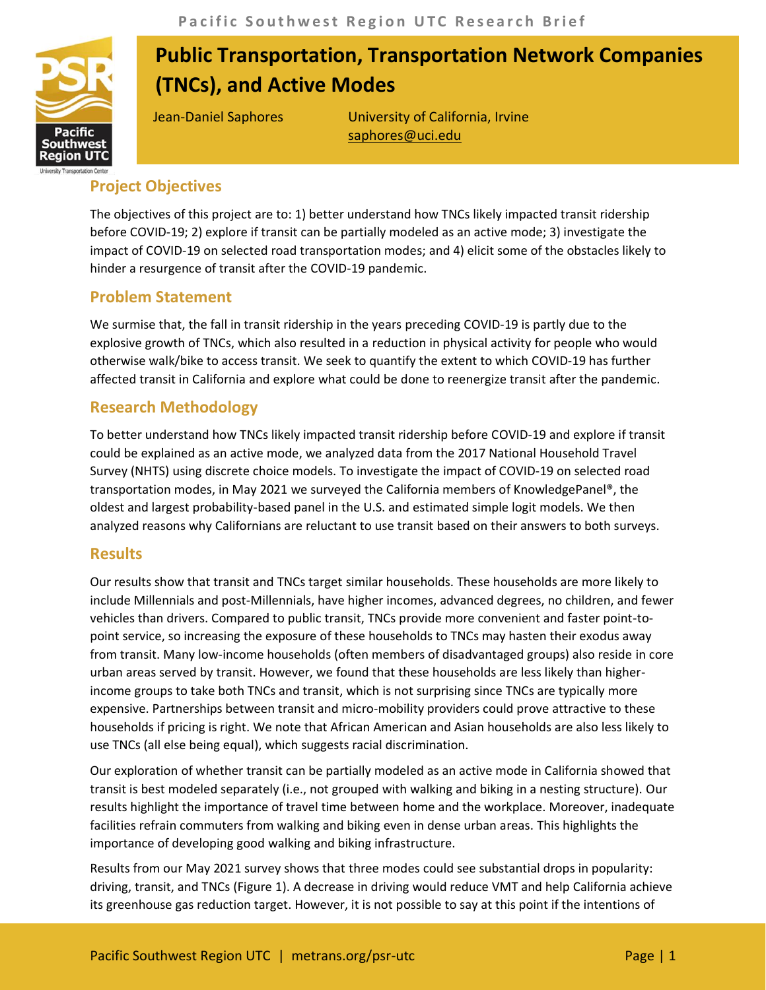

# **Public Transportation, Transportation Network Companies (TNCs), and Active Modes**

Jean-Daniel Saphores University of California, Irvine [saphores@uci.edu](mailto:saphores@uci.edu)

## **Project Objectives**

The objectives of this project are to: 1) better understand how TNCs likely impacted transit ridership before COVID-19; 2) explore if transit can be partially modeled as an active mode; 3) investigate the impact of COVID-19 on selected road transportation modes; and 4) elicit some of the obstacles likely to hinder a resurgence of transit after the COVID-19 pandemic.

#### **Problem Statement**

We surmise that, the fall in transit ridership in the years preceding COVID-19 is partly due to the explosive growth of TNCs, which also resulted in a reduction in physical activity for people who would otherwise walk/bike to access transit. We seek to quantify the extent to which COVID-19 has further affected transit in California and explore what could be done to reenergize transit after the pandemic.

### **Research Methodology**

To better understand how TNCs likely impacted transit ridership before COVID-19 and explore if transit could be explained as an active mode, we analyzed data from the 2017 National Household Travel Survey (NHTS) using discrete choice models. To investigate the impact of COVID-19 on selected road transportation modes, in May 2021 we surveyed the California members of KnowledgePanel®, the oldest and largest probability-based panel in the U.S. and estimated simple logit models. We then analyzed reasons why Californians are reluctant to use transit based on their answers to both surveys.

#### **Results**

Our results show that transit and TNCs target similar households. These households are more likely to include Millennials and post-Millennials, have higher incomes, advanced degrees, no children, and fewer vehicles than drivers. Compared to public transit, TNCs provide more convenient and faster point-topoint service, so increasing the exposure of these households to TNCs may hasten their exodus away from transit. Many low-income households (often members of disadvantaged groups) also reside in core urban areas served by transit. However, we found that these households are less likely than higherincome groups to take both TNCs and transit, which is not surprising since TNCs are typically more expensive. Partnerships between transit and micro-mobility providers could prove attractive to these households if pricing is right. We note that African American and Asian households are also less likely to use TNCs (all else being equal), which suggests racial discrimination.

Our exploration of whether transit can be partially modeled as an active mode in California showed that transit is best modeled separately (i.e., not grouped with walking and biking in a nesting structure). Our results highlight the importance of travel time between home and the workplace. Moreover, inadequate facilities refrain commuters from walking and biking even in dense urban areas. This highlights the importance of developing good walking and biking infrastructure.

Results from our May 2021 survey shows that three modes could see substantial drops in popularity: driving, transit, and TNCs (Figure 1). A decrease in driving would reduce VMT and help California achieve its greenhouse gas reduction target. However, it is not possible to say at this point if the intentions of